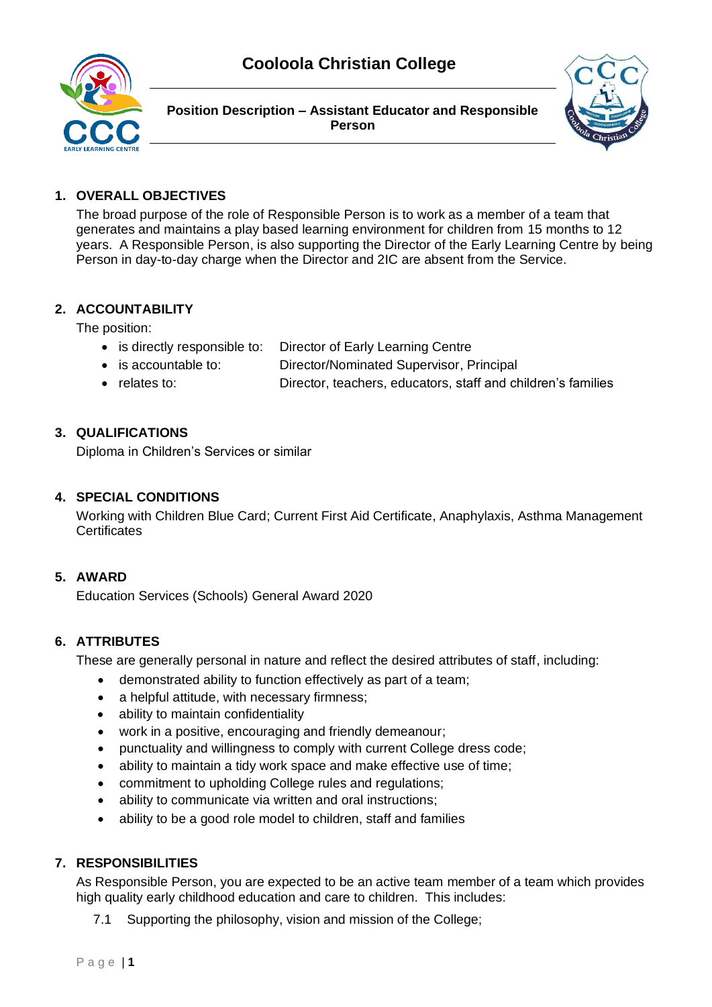

**Position Description – Assistant Educator and Responsible Person**



# **1. OVERALL OBJECTIVES**

The broad purpose of the role of Responsible Person is to work as a member of a team that generates and maintains a play based learning environment for children from 15 months to 12 years. A Responsible Person, is also supporting the Director of the Early Learning Centre by being Person in day-to-day charge when the Director and 2IC are absent from the Service.

# **2. ACCOUNTABILITY**

The position:

- is directly responsible to: Director of Early Learning Centre
- is accountable to: Director/Nominated Supervisor, Principal
- relates to: Director, teachers, educators, staff and children's families

#### **3. QUALIFICATIONS**

Diploma in Children's Services or similar

#### **4. SPECIAL CONDITIONS**

Working with Children Blue Card; Current First Aid Certificate, Anaphylaxis, Asthma Management **Certificates** 

### **5. AWARD**

Education Services (Schools) General Award 2020

### **6. ATTRIBUTES**

These are generally personal in nature and reflect the desired attributes of staff, including:

- demonstrated ability to function effectively as part of a team;
- a helpful attitude, with necessary firmness:
- ability to maintain confidentiality
- work in a positive, encouraging and friendly demeanour;
- punctuality and willingness to comply with current College dress code;
- ability to maintain a tidy work space and make effective use of time;
- commitment to upholding College rules and regulations;
- ability to communicate via written and oral instructions;
- ability to be a good role model to children, staff and families

### **7. RESPONSIBILITIES**

As Responsible Person, you are expected to be an active team member of a team which provides high quality early childhood education and care to children. This includes:

7.1 Supporting the philosophy, vision and mission of the College;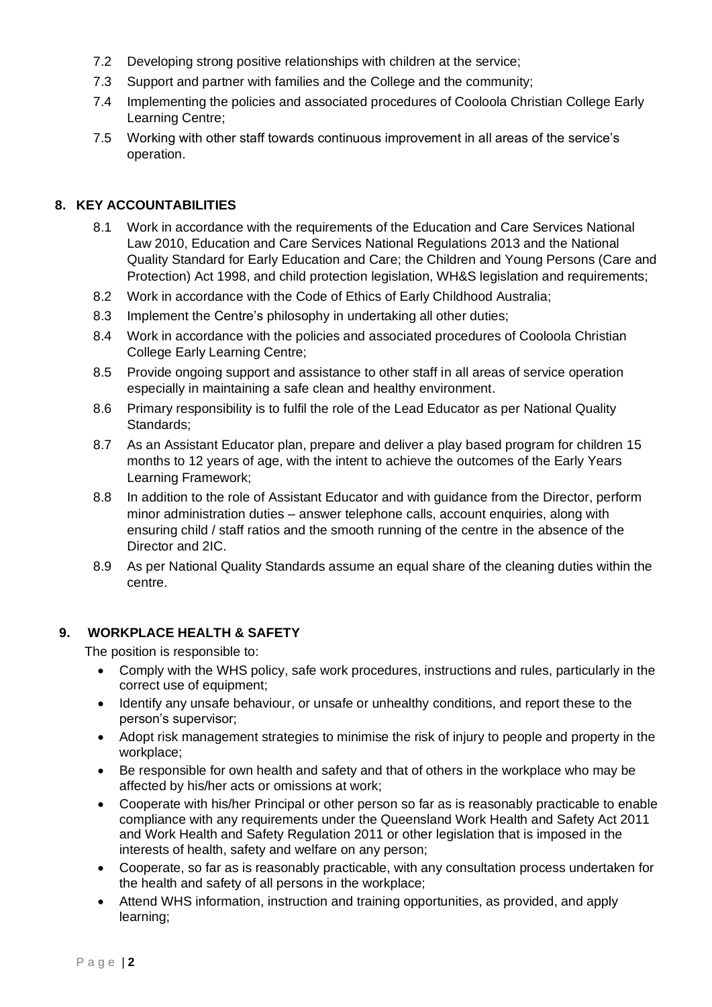- 7.2 Developing strong positive relationships with children at the service;
- 7.3 Support and partner with families and the College and the community;
- 7.4 Implementing the policies and associated procedures of Cooloola Christian College Early Learning Centre;
- 7.5 Working with other staff towards continuous improvement in all areas of the service's operation.

### **8. KEY ACCOUNTABILITIES**

- 8.1 Work in accordance with the requirements of the Education and Care Services National Law 2010, Education and Care Services National Regulations 2013 and the National Quality Standard for Early Education and Care; the Children and Young Persons (Care and Protection) Act 1998, and child protection legislation, WH&S legislation and requirements;
- 8.2 Work in accordance with the Code of Ethics of Early Childhood Australia;
- 8.3 Implement the Centre's philosophy in undertaking all other duties;
- 8.4 Work in accordance with the policies and associated procedures of Cooloola Christian College Early Learning Centre;
- 8.5 Provide ongoing support and assistance to other staff in all areas of service operation especially in maintaining a safe clean and healthy environment.
- 8.6 Primary responsibility is to fulfil the role of the Lead Educator as per National Quality Standards;
- 8.7 As an Assistant Educator plan, prepare and deliver a play based program for children 15 months to 12 years of age, with the intent to achieve the outcomes of the Early Years Learning Framework;
- 8.8 In addition to the role of Assistant Educator and with guidance from the Director, perform minor administration duties – answer telephone calls, account enquiries, along with ensuring child / staff ratios and the smooth running of the centre in the absence of the Director and 2IC.
- 8.9 As per National Quality Standards assume an equal share of the cleaning duties within the centre.

### **9. WORKPLACE HEALTH & SAFETY**

The position is responsible to:

- Comply with the WHS policy, safe work procedures, instructions and rules, particularly in the correct use of equipment;
- Identify any unsafe behaviour, or unsafe or unhealthy conditions, and report these to the person's supervisor;
- Adopt risk management strategies to minimise the risk of injury to people and property in the workplace;
- Be responsible for own health and safety and that of others in the workplace who may be affected by his/her acts or omissions at work;
- Cooperate with his/her Principal or other person so far as is reasonably practicable to enable compliance with any requirements under the Queensland Work Health and Safety Act 2011 and Work Health and Safety Regulation 2011 or other legislation that is imposed in the interests of health, safety and welfare on any person;
- Cooperate, so far as is reasonably practicable, with any consultation process undertaken for the health and safety of all persons in the workplace;
- Attend WHS information, instruction and training opportunities, as provided, and apply learning;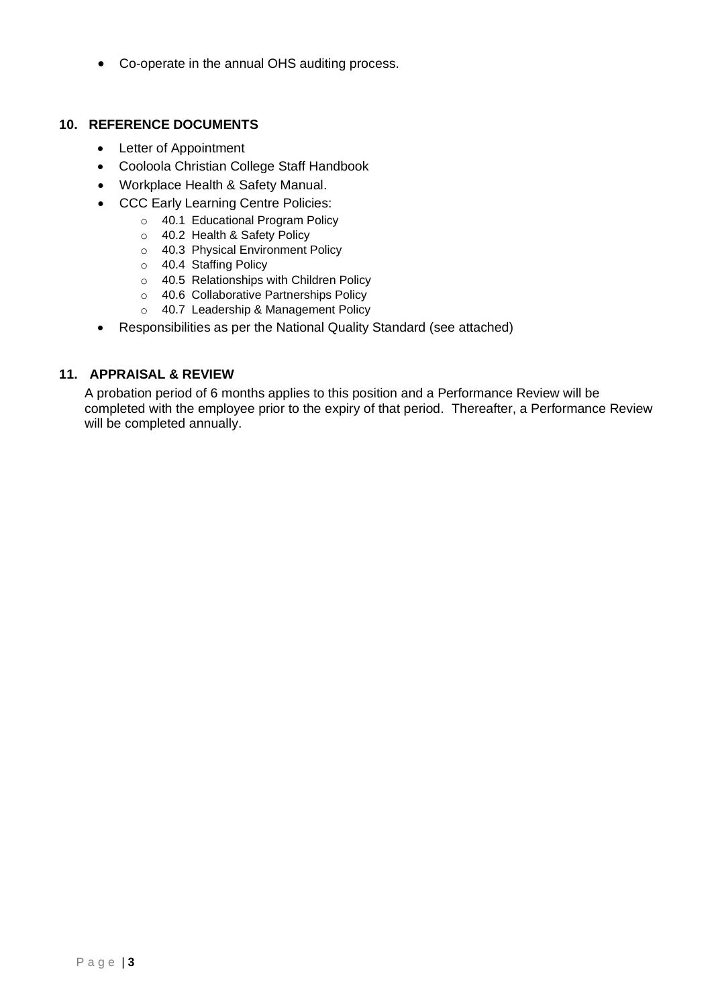• Co-operate in the annual OHS auditing process.

#### **10. REFERENCE DOCUMENTS**

- Letter of Appointment
- Cooloola Christian College Staff Handbook
- Workplace Health & Safety Manual.
- CCC Early Learning Centre Policies:
	- o 40.1 Educational Program Policy
	- o 40.2 Health & Safety Policy
	- o 40.3 Physical Environment Policy
	- o 40.4 Staffing Policy
	- o 40.5 Relationships with Children Policy
	- o 40.6 Collaborative Partnerships Policy
	- o 40.7 Leadership & Management Policy
- Responsibilities as per the National Quality Standard (see attached)

#### **11. APPRAISAL & REVIEW**

A probation period of 6 months applies to this position and a Performance Review will be completed with the employee prior to the expiry of that period. Thereafter, a Performance Review will be completed annually.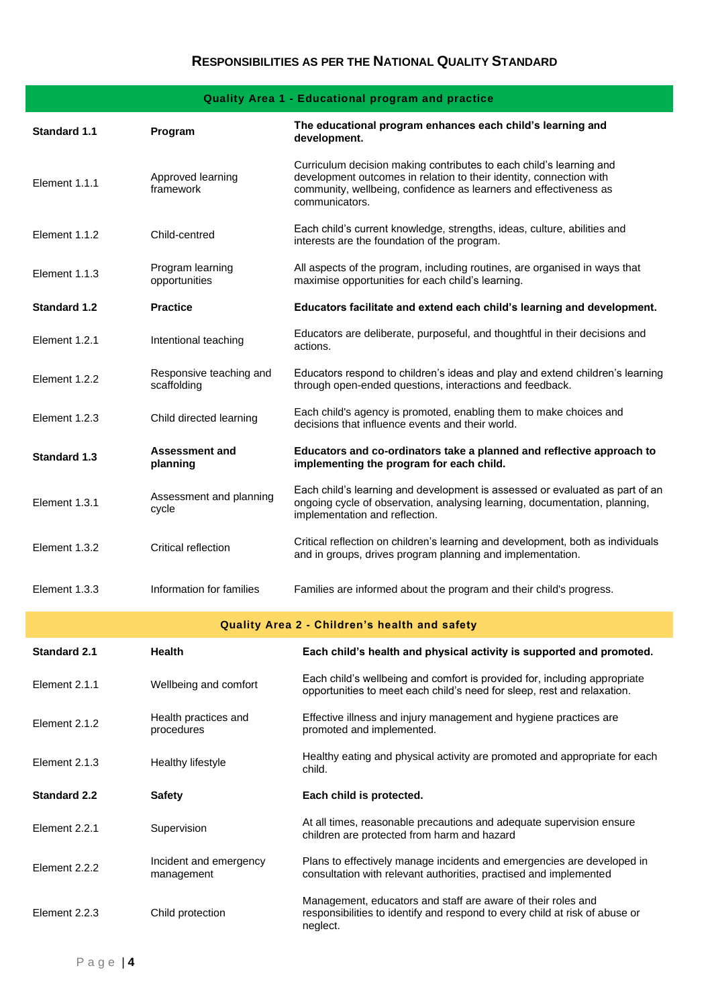# **Quality Area 1 - Educational program and practice**

| <b>Standard 1.1</b> | Program                                | The educational program enhances each child's learning and<br>development.                                                                                                                                                        |
|---------------------|----------------------------------------|-----------------------------------------------------------------------------------------------------------------------------------------------------------------------------------------------------------------------------------|
| Element 1.1.1       | Approved learning<br>framework         | Curriculum decision making contributes to each child's learning and<br>development outcomes in relation to their identity, connection with<br>community, wellbeing, confidence as learners and effectiveness as<br>communicators. |
| Element 1.1.2       | Child-centred                          | Each child's current knowledge, strengths, ideas, culture, abilities and<br>interests are the foundation of the program.                                                                                                          |
| Element 1.1.3       | Program learning<br>opportunities      | All aspects of the program, including routines, are organised in ways that<br>maximise opportunities for each child's learning.                                                                                                   |
| <b>Standard 1.2</b> | <b>Practice</b>                        | Educators facilitate and extend each child's learning and development.                                                                                                                                                            |
| Element 1.2.1       | Intentional teaching                   | Educators are deliberate, purposeful, and thoughtful in their decisions and<br>actions.                                                                                                                                           |
| Element 1.2.2       | Responsive teaching and<br>scaffolding | Educators respond to children's ideas and play and extend children's learning<br>through open-ended questions, interactions and feedback.                                                                                         |
| Element 1.2.3       | Child directed learning                | Each child's agency is promoted, enabling them to make choices and<br>decisions that influence events and their world.                                                                                                            |
| <b>Standard 1.3</b> | <b>Assessment and</b><br>planning      | Educators and co-ordinators take a planned and reflective approach to<br>implementing the program for each child.                                                                                                                 |
| Element 1.3.1       | Assessment and planning<br>cycle       | Each child's learning and development is assessed or evaluated as part of an<br>ongoing cycle of observation, analysing learning, documentation, planning,<br>implementation and reflection.                                      |
| Element 1.3.2       | Critical reflection                    | Critical reflection on children's learning and development, both as individuals<br>and in groups, drives program planning and implementation.                                                                                     |
| Element 1.3.3       | Information for families               | Families are informed about the program and their child's progress.                                                                                                                                                               |
|                     |                                        | Quality Area 2 - Children's health and safety                                                                                                                                                                                     |
| <b>Standard 2.1</b> | Health                                 | Each child's health and physical activity is supported and promoted.                                                                                                                                                              |
| Element 2.1.1       | Wellbeing and comfort                  | Each child's wellbeing and comfort is provided for, including appropriate<br>opportunities to meet each child's need for sleep, rest and relaxation.                                                                              |
| Element 2.1.2       | Health practices and<br>procedures     | Effective illness and injury management and hygiene practices are<br>promoted and implemented.                                                                                                                                    |
| Element 2.1.3       | Healthy lifestyle                      | Healthy eating and physical activity are promoted and appropriate for each<br>child.                                                                                                                                              |
| <b>Standard 2.2</b> | <b>Safety</b>                          | Each child is protected.                                                                                                                                                                                                          |
| Element 2.2.1       | Supervision                            | At all times, reasonable precautions and adequate supervision ensure<br>children are protected from harm and hazard                                                                                                               |
| Element 2.2.2       | Incident and emergency<br>management   | Plans to effectively manage incidents and emergencies are developed in<br>consultation with relevant authorities, practised and implemented                                                                                       |
| Element 2.2.3       | Child protection                       | Management, educators and staff are aware of their roles and<br>responsibilities to identify and respond to every child at risk of abuse or<br>neglect.                                                                           |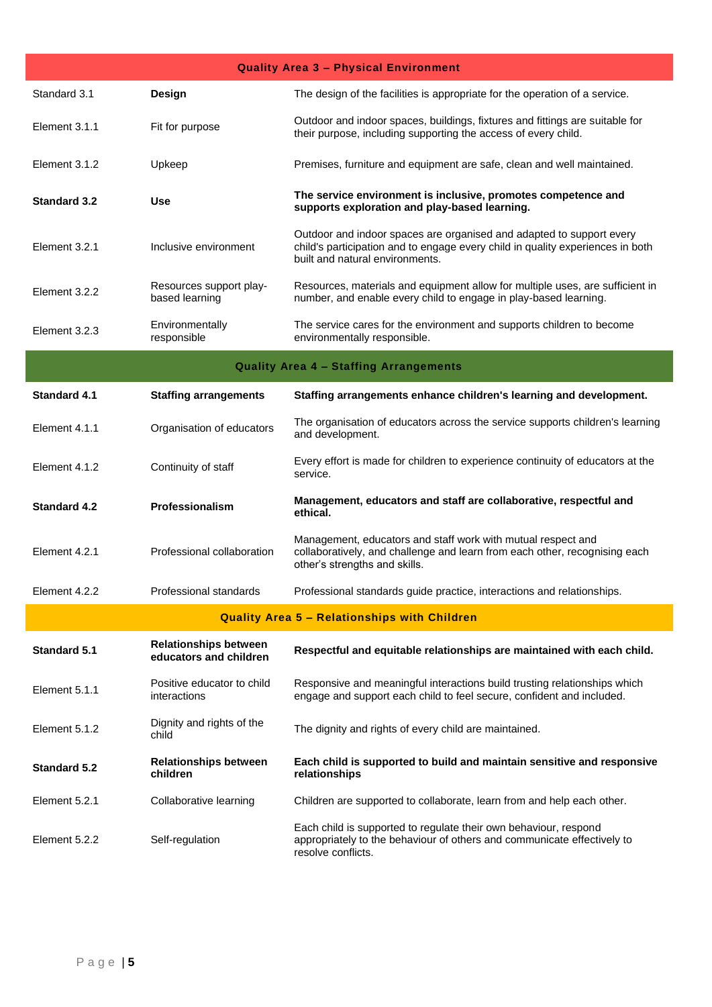| <b>Quality Area 3 - Physical Environment</b>        |                                                        |                                                                                                                                                                                           |  |  |
|-----------------------------------------------------|--------------------------------------------------------|-------------------------------------------------------------------------------------------------------------------------------------------------------------------------------------------|--|--|
| Standard 3.1                                        | Design                                                 | The design of the facilities is appropriate for the operation of a service.                                                                                                               |  |  |
| Element 3.1.1                                       | Fit for purpose                                        | Outdoor and indoor spaces, buildings, fixtures and fittings are suitable for<br>their purpose, including supporting the access of every child.                                            |  |  |
| Element 3.1.2                                       | Upkeep                                                 | Premises, furniture and equipment are safe, clean and well maintained.                                                                                                                    |  |  |
| <b>Standard 3.2</b>                                 | <b>Use</b>                                             | The service environment is inclusive, promotes competence and<br>supports exploration and play-based learning.                                                                            |  |  |
| Element 3.2.1                                       | Inclusive environment                                  | Outdoor and indoor spaces are organised and adapted to support every<br>child's participation and to engage every child in quality experiences in both<br>built and natural environments. |  |  |
| Element 3.2.2                                       | Resources support play-<br>based learning              | Resources, materials and equipment allow for multiple uses, are sufficient in<br>number, and enable every child to engage in play-based learning.                                         |  |  |
| Element 3.2.3                                       | Environmentally<br>responsible                         | The service cares for the environment and supports children to become<br>environmentally responsible.                                                                                     |  |  |
|                                                     |                                                        | <b>Quality Area 4 - Staffing Arrangements</b>                                                                                                                                             |  |  |
| <b>Standard 4.1</b>                                 | <b>Staffing arrangements</b>                           | Staffing arrangements enhance children's learning and development.                                                                                                                        |  |  |
| Element 4.1.1                                       | Organisation of educators                              | The organisation of educators across the service supports children's learning<br>and development.                                                                                         |  |  |
| Element 4.1.2                                       | Continuity of staff                                    | Every effort is made for children to experience continuity of educators at the<br>service.                                                                                                |  |  |
| <b>Standard 4.2</b>                                 | Professionalism                                        | Management, educators and staff are collaborative, respectful and<br>ethical.                                                                                                             |  |  |
| Element 4.2.1                                       | Professional collaboration                             | Management, educators and staff work with mutual respect and<br>collaboratively, and challenge and learn from each other, recognising each<br>other's strengths and skills.               |  |  |
| Element 4.2.2                                       | Professional standards                                 | Professional standards guide practice, interactions and relationships.                                                                                                                    |  |  |
| <b>Quality Area 5 - Relationships with Children</b> |                                                        |                                                                                                                                                                                           |  |  |
| <b>Standard 5.1</b>                                 | <b>Relationships between</b><br>educators and children | Respectful and equitable relationships are maintained with each child.                                                                                                                    |  |  |
| Element 5.1.1                                       | Positive educator to child<br>interactions             | Responsive and meaningful interactions build trusting relationships which<br>engage and support each child to feel secure, confident and included.                                        |  |  |
| Element 5.1.2                                       | Dignity and rights of the<br>child                     | The dignity and rights of every child are maintained.                                                                                                                                     |  |  |
| <b>Standard 5.2</b>                                 | <b>Relationships between</b><br>children               | Each child is supported to build and maintain sensitive and responsive<br>relationships                                                                                                   |  |  |
| Element 5.2.1                                       | Collaborative learning                                 | Children are supported to collaborate, learn from and help each other.                                                                                                                    |  |  |
| Element 5.2.2                                       | Self-regulation                                        | Each child is supported to regulate their own behaviour, respond<br>appropriately to the behaviour of others and communicate effectively to<br>resolve conflicts.                         |  |  |